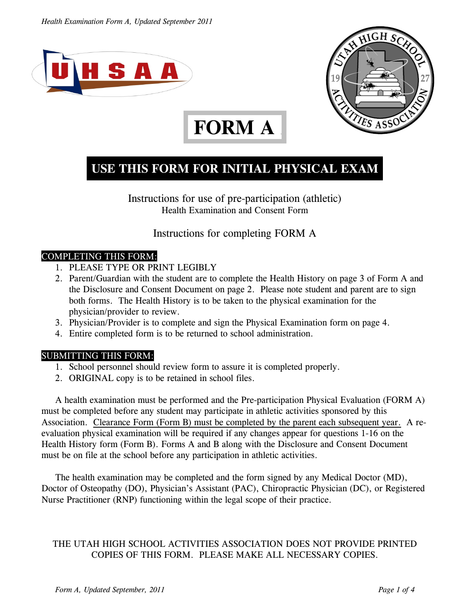



# **FORM A .**

### **USE THIS FORM FOR INITIAL PHYSICAL EXAM**

Instructions for use of pre-participation (athletic) Health Examination and Consent Form

Instructions for completing FORM A

#### COMPLETING THIS FORM:

- 1. PLEASE TYPE OR PRINT LEGIBLY
- 2. Parent/Guardian with the student are to complete the Health History on page 3 of Form A and the Disclosure and Consent Document on page 2. Please note student and parent are to sign both forms. The Health History is to be taken to the physical examination for the physician/provider to review.
- 3. Physician/Provider is to complete and sign the Physical Examination form on page 4.
- 4. Entire completed form is to be returned to school administration.

#### SUBMITTING THIS FORM:

- 1. School personnel should review form to assure it is completed properly.
- 2. ORIGINAL copy is to be retained in school files.

A health examination must be performed and the Pre-participation Physical Evaluation (FORM A) must be completed before any student may participate in athletic activities sponsored by this Association. Clearance Form (Form B) must be completed by the parent each subsequent year. A reevaluation physical examination will be required if any changes appear for questions 1-16 on the Health History form (Form B). Forms A and B along with the Disclosure and Consent Document must be on file at the school before any participation in athletic activities.

The health examination may be completed and the form signed by any Medical Doctor (MD), Doctor of Osteopathy (DO), Physician's Assistant (PAC), Chiropractic Physician (DC), or Registered Nurse Practitioner (RNP) functioning within the legal scope of their practice.

#### THE UTAH HIGH SCHOOL ACTIVITIES ASSOCIATION DOES NOT PROVIDE PRINTED COPIES OF THIS FORM. PLEASE MAKE ALL NECESSARY COPIES.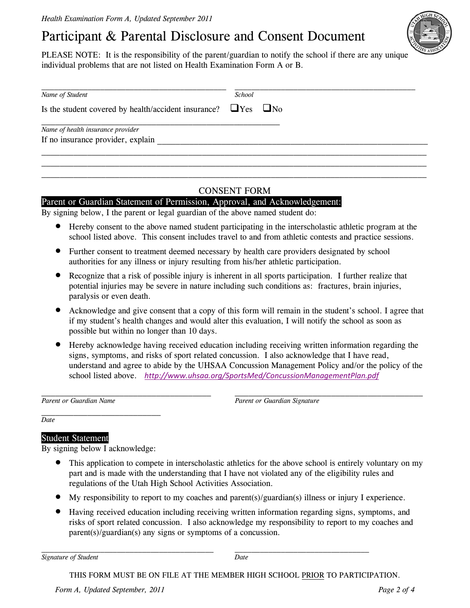## Participant & Parental Disclosure and Consent Document

PLEASE NOTE: It is the responsibility of the parent/guardian to notify the school if there are any unique individual problems that are not listed on Health Examination Form A or B.

| Name of Student                                                           | <i>School</i> |  |
|---------------------------------------------------------------------------|---------------|--|
| Is the student covered by health/accident insurance? $\Box$ Yes $\Box$ No |               |  |
| Name of health insurance provider                                         |               |  |
| If no insurance provider, explain                                         |               |  |

#### CONSENT FORM

#### Parent or Guardian Statement of Permission, Approval, and Acknowledgement:

By signing below, I the parent or legal guardian of the above named student do:

- **•** Hereby consent to the above named student participating in the interscholastic athletic program at the school listed above. This consent includes travel to and from athletic contests and practice sessions.
- Further consent to treatment deemed necessary by health care providers designated by school authorities for any illness or injury resulting from his/her athletic participation.
- Recognize that a risk of possible injury is inherent in all sports participation. I further realize that potential injuries may be severe in nature including such conditions as: fractures, brain injuries, paralysis or even death.
- Acknowledge and give consent that a copy of this form will remain in the student's school. I agree that if my student's health changes and would alter this evaluation, I will notify the school as soon as possible but within no longer than 10 days.
- **•** Hereby acknowledge having received education including receiving written information regarding the signs, symptoms, and risks of sport related concussion. I also acknowledge that I have read, understand and agree to abide by the UHSAA Concussion Management Policy and/or the policy of the school listed above. *http://www.uhsaa.org/SportsMed/ConcussionManagementPlan.pdf*

Parent or Guardian Name **Parent or Guardian Signature** *Parent or Guardian Signature* 

*Date* 

#### Student Statement

By signing below I acknowledge:

- This application to compete in interscholastic athletics for the above school is entirely voluntary on my part and is made with the understanding that I have not violated any of the eligibility rules and regulations of the Utah High School Activities Association.
- $\bullet$  My responsibility to report to my coaches and parent(s)/guardian(s) illness or injury I experience.
- Having received education including receiving written information regarding signs, symptoms, and risks of sport related concussion. I also acknowledge my responsibility to report to my coaches and parent(s)/guardian(s) any signs or symptoms of a concussion.

*Signature of Student Date*

THIS FORM MUST BE ON FILE AT THE MEMBER HIGH SCHOOL PRIOR TO PARTICIPATION.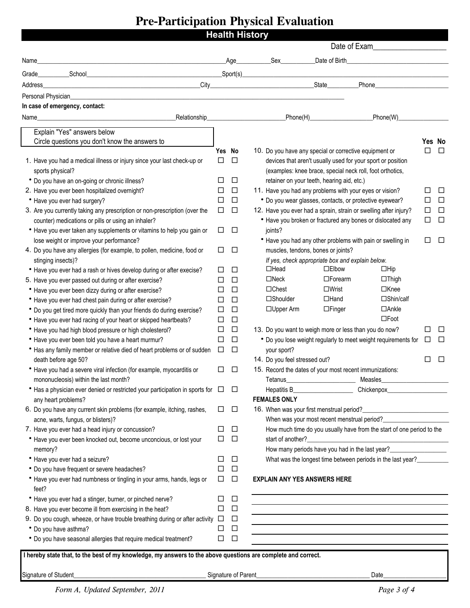# **Pre-Participation Physical Evaluation**

|                                                                                                                                                                                                                                                   | <b>Health History</b> |             |  | Date of Exam                                                                                                   |                                                                  |                                                                       |        |        |  |
|---------------------------------------------------------------------------------------------------------------------------------------------------------------------------------------------------------------------------------------------------|-----------------------|-------------|--|----------------------------------------------------------------------------------------------------------------|------------------------------------------------------------------|-----------------------------------------------------------------------|--------|--------|--|
| Name_                                                                                                                                                                                                                                             |                       | Age         |  | Sex and the set of the set of the set of the set of the set of the set of the set of the set of the set of the | Date of Birth<br><u> 1980 - John Stein, Amerikaansk kanton (</u> |                                                                       |        |        |  |
| <u>School School School School School School School School School School School School School School School School School School School School School School School School School School School School School School School Scho</u><br>Grade____ |                       |             |  |                                                                                                                |                                                                  | Spot(s)                                                               |        |        |  |
| and the control of the control of the control of the control of the control of the control of the control of t<br>City and the control of the control of the control of the control of the control of the control of the control<br>Address       |                       |             |  |                                                                                                                |                                                                  |                                                                       |        |        |  |
|                                                                                                                                                                                                                                                   |                       |             |  |                                                                                                                |                                                                  |                                                                       |        |        |  |
| In case of emergency, contact:                                                                                                                                                                                                                    |                       |             |  |                                                                                                                |                                                                  |                                                                       |        |        |  |
| <b>Relationship</b><br>Name_                                                                                                                                                                                                                      |                       |             |  |                                                                                                                |                                                                  | Phone(H) Phone(W)                                                     |        |        |  |
| Explain "Yes" answers below                                                                                                                                                                                                                       |                       |             |  |                                                                                                                |                                                                  |                                                                       |        |        |  |
| Circle questions you don't know the answers to                                                                                                                                                                                                    |                       |             |  |                                                                                                                |                                                                  |                                                                       |        | Yes No |  |
|                                                                                                                                                                                                                                                   | Yes No                |             |  |                                                                                                                |                                                                  | 10. Do you have any special or corrective equipment or                | □      | $\Box$ |  |
| 1. Have you had a medical illness or injury since your last check-up or                                                                                                                                                                           | □                     | $\Box$      |  |                                                                                                                |                                                                  | devices that aren't usually used for your sport or position           |        |        |  |
| sports physical?                                                                                                                                                                                                                                  |                       |             |  |                                                                                                                |                                                                  | (examples: knee brace, special neck roll, foot orthotics,             |        |        |  |
| * Do you have an on-going or chronic illness?                                                                                                                                                                                                     | □                     | □           |  | retainer on your teeth, hearing aid, etc.)                                                                     |                                                                  |                                                                       |        |        |  |
| 2. Have you ever been hospitalized overnight?                                                                                                                                                                                                     | □                     | $\Box$      |  |                                                                                                                |                                                                  | 11. Have you had any problems with your eyes or vision?               | □      | □      |  |
| • Have you ever had surgery?                                                                                                                                                                                                                      | $\Box$                | $\Box$      |  |                                                                                                                |                                                                  | * Do you wear glasses, contacts, or protective eyewear?               | □      | $\Box$ |  |
| 3. Are you currently taking any prescription or non-prescription (over the                                                                                                                                                                        | $\Box$                | $\Box$      |  |                                                                                                                |                                                                  | 12. Have you ever had a sprain, strain or swelling after injury?      | $\Box$ | $\Box$ |  |
| counter) medications or pills or using an inhaler?                                                                                                                                                                                                |                       |             |  |                                                                                                                |                                                                  | • Have you broken or fractured any bones or dislocated any            | $\Box$ | $\Box$ |  |
| • Have you ever taken any supplements or vitamins to help you gain or                                                                                                                                                                             | $\Box$                | $\Box$      |  | joints?                                                                                                        |                                                                  |                                                                       |        |        |  |
| lose weight or improve your performance?                                                                                                                                                                                                          |                       |             |  |                                                                                                                |                                                                  | • Have you had any other problems with pain or swelling in            | □      | □      |  |
| 4. Do you have any allergies (for example, to pollen, medicine, food or                                                                                                                                                                           | $\Box$                | $\Box$      |  | muscles, tendons, bones or joints?                                                                             |                                                                  |                                                                       |        |        |  |
| stinging insects)?                                                                                                                                                                                                                                |                       |             |  |                                                                                                                |                                                                  | If yes, check appropriate box and explain below.                      |        |        |  |
| • Have you ever had a rash or hives develop during or after execise?                                                                                                                                                                              | ⊔                     | $\Box$      |  | $\Box$ Head                                                                                                    | $\Box$ Elbow                                                     | $\Box$ Hip                                                            |        |        |  |
| 5. Have you ever passed out during or after exercise?                                                                                                                                                                                             | □                     | $\Box$      |  | $\Box$ Neck                                                                                                    | $\Box$ Forearm                                                   | $\Box$ Thigh                                                          |        |        |  |
| • Have you ever been dizzy during or after exercise?                                                                                                                                                                                              | □                     | $\Box$      |  | $\Box$ Chest                                                                                                   | $\square$ Wrist                                                  | $\Box$ Knee                                                           |        |        |  |
| • Have you ever had chest pain during or after exercise?                                                                                                                                                                                          | □                     | $\Box$      |  | □Shoulder                                                                                                      | $\Box$ Hand                                                      | □Shin/calf                                                            |        |        |  |
| * Do you get tired more quickly than your friends do during exercise?                                                                                                                                                                             | □                     | □           |  | $\Box$ Upper Arm                                                                                               | $\Box$ Finger                                                    | $\Box$ Ankle                                                          |        |        |  |
| • Have you ever had racing of your heart or skipped heartbeats?                                                                                                                                                                                   | □                     | $\Box$      |  |                                                                                                                |                                                                  | $\square$ Foot                                                        |        |        |  |
| • Have you had high blood pressure or high cholesterol?                                                                                                                                                                                           | $\Box$                | $\Box$      |  |                                                                                                                |                                                                  | 13. Do you want to weigh more or less than you do now?                | □      | □      |  |
| • Have you ever been told you have a heart murmur?                                                                                                                                                                                                | $\Box$                | $\Box$      |  |                                                                                                                |                                                                  | * Do you lose weight regularly to meet weight requirements for        | □      | □      |  |
| • Has any family member or relative died of heart problems or of sudden                                                                                                                                                                           | $\Box$                | $\Box$      |  | your sport?                                                                                                    |                                                                  |                                                                       |        |        |  |
| death before age 50?                                                                                                                                                                                                                              |                       |             |  | 14. Do you feel stressed out?                                                                                  |                                                                  |                                                                       | П      | $\Box$ |  |
| • Have you had a severe viral infection (for example, myocarditis or                                                                                                                                                                              | □                     | □           |  |                                                                                                                |                                                                  | 15. Record the dates of your most recent immunizations:               |        |        |  |
| mononucleosis) within the last month?                                                                                                                                                                                                             |                       |             |  | Tetanus___                                                                                                     |                                                                  | Measles <u>__________________________________</u>                     |        |        |  |
| • Has a physician ever denied or restricted your participation in sports for $\Box$                                                                                                                                                               |                       | $\Box$      |  | Hepatitis B_                                                                                                   |                                                                  |                                                                       |        |        |  |
| any heart problems?                                                                                                                                                                                                                               |                       |             |  | <b>FEMALES ONLY</b>                                                                                            |                                                                  |                                                                       |        |        |  |
| 6. Do you have any current skin problems (for example, itching, rashes,                                                                                                                                                                           | ⊔                     | □           |  | 16. When was your first menstrual period?_                                                                     |                                                                  | <u> 1980 - Johann Barbara, martxa al</u>                              |        |        |  |
| acne, warts, fungus, or blisters)?                                                                                                                                                                                                                |                       |             |  |                                                                                                                |                                                                  | When was your most recent menstrual period?                           |        |        |  |
| 7. Have you ever had a head injury or concussion?                                                                                                                                                                                                 | ⊔                     | □           |  |                                                                                                                |                                                                  | How much time do you usually have from the start of one period to the |        |        |  |
| • Have you ever been knocked out, become unconcious, or lost your                                                                                                                                                                                 | □                     | $\Box$      |  |                                                                                                                |                                                                  |                                                                       |        |        |  |
| memory?                                                                                                                                                                                                                                           |                       |             |  |                                                                                                                |                                                                  |                                                                       |        |        |  |
| • Have you ever had a seizure?                                                                                                                                                                                                                    | Ħ<br>□                | □<br>$\Box$ |  |                                                                                                                |                                                                  | What was the longest time between periods in the last year?           |        |        |  |
| * Do you have frequent or severe headaches?                                                                                                                                                                                                       | $\Box$                | $\Box$      |  |                                                                                                                |                                                                  |                                                                       |        |        |  |
| • Have you ever had numbness or tingling in your arms, hands, legs or<br>feet?                                                                                                                                                                    |                       |             |  | <b>EXPLAIN ANY YES ANSWERS HERE</b>                                                                            |                                                                  |                                                                       |        |        |  |
| * Have you ever had a stinger, burner, or pinched nerve?                                                                                                                                                                                          | □                     | □           |  |                                                                                                                |                                                                  |                                                                       |        |        |  |
| 8. Have you ever become ill from exercising in the heat?                                                                                                                                                                                          | □                     | $\Box$      |  |                                                                                                                |                                                                  |                                                                       |        |        |  |
| 9. Do you cough, wheeze, or have trouble breathing during or after activity $\Box$                                                                                                                                                                |                       | $\Box$      |  |                                                                                                                |                                                                  |                                                                       |        |        |  |
| • Do you have asthma?                                                                                                                                                                                                                             | ⊔                     | $\Box$      |  |                                                                                                                |                                                                  |                                                                       |        |        |  |
| • Do you have seasonal allergies that require medical treatment?                                                                                                                                                                                  | □                     | $\Box$      |  |                                                                                                                |                                                                  |                                                                       |        |        |  |
| I hereby state that, to the best of my knowledge, my answers to the above questions are complete and correct.                                                                                                                                     |                       |             |  |                                                                                                                |                                                                  |                                                                       |        |        |  |